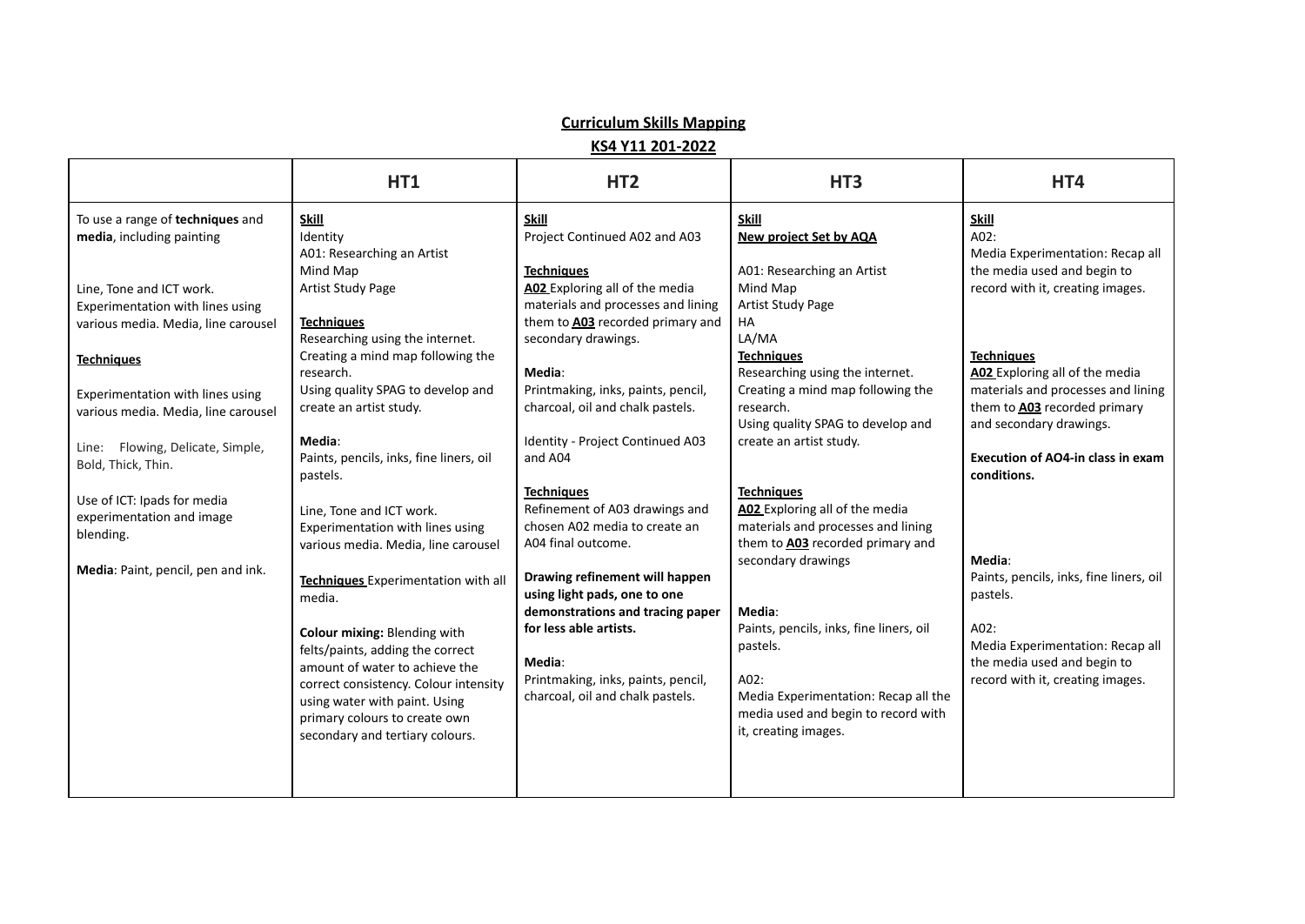## **Curriculum Skills Mapping**

**KS4 Y11 201-2022**

|                                                                                                     | HT <sub>1</sub>                                                                                                                                                                                                                                  | HT <sub>2</sub>                                                                                                                 | HT <sub>3</sub>                                                                                                                                                    | HT4                                                                                                                                                  |
|-----------------------------------------------------------------------------------------------------|--------------------------------------------------------------------------------------------------------------------------------------------------------------------------------------------------------------------------------------------------|---------------------------------------------------------------------------------------------------------------------------------|--------------------------------------------------------------------------------------------------------------------------------------------------------------------|------------------------------------------------------------------------------------------------------------------------------------------------------|
| To use a range of techniques and<br>media, including painting                                       | <b>Skill</b><br>Identity<br>A01: Researching an Artist<br>Mind Map                                                                                                                                                                               | <b>Skill</b><br>Project Continued A02 and A03<br><b>Techniques</b>                                                              | <b>Skill</b><br><b>New project Set by AQA</b><br>A01: Researching an Artist                                                                                        | <b>Skill</b><br>A02:<br>Media Experimentation: Recap all<br>the media used and begin to                                                              |
| Line, Tone and ICT work.<br>Experimentation with lines using<br>various media. Media, line carousel | Artist Study Page<br><b>Techniques</b><br>Researching using the internet.                                                                                                                                                                        | A02 Exploring all of the media<br>materials and processes and lining<br>them to A03 recorded primary and<br>secondary drawings. | Mind Map<br>Artist Study Page<br><b>HA</b><br>LA/MA                                                                                                                | record with it, creating images.                                                                                                                     |
| <b>Techniques</b><br>Experimentation with lines using<br>various media. Media, line carousel        | Creating a mind map following the<br>research.<br>Using quality SPAG to develop and<br>create an artist study.                                                                                                                                   | Media:<br>Printmaking, inks, paints, pencil,<br>charcoal, oil and chalk pastels.                                                | <b>Techniques</b><br>Researching using the internet.<br>Creating a mind map following the<br>research.<br>Using quality SPAG to develop and                        | <b>Techniques</b><br>A02 Exploring all of the media<br>materials and processes and lining<br>them to A03 recorded primary<br>and secondary drawings. |
| Line: Flowing, Delicate, Simple,<br>Bold, Thick, Thin.                                              | Media:<br>Paints, pencils, inks, fine liners, oil<br>pastels.                                                                                                                                                                                    | Identity - Project Continued A03<br>and A04<br><b>Techniques</b>                                                                | create an artist study.<br><b>Techniques</b>                                                                                                                       | Execution of AO4-in class in exam<br>conditions.                                                                                                     |
| Use of ICT: Ipads for media<br>experimentation and image<br>blending.                               | Line, Tone and ICT work.<br>Experimentation with lines using<br>various media. Media, line carousel                                                                                                                                              | Refinement of A03 drawings and<br>chosen A02 media to create an<br>A04 final outcome.                                           | A02 Exploring all of the media<br>materials and processes and lining<br>them to A03 recorded primary and                                                           |                                                                                                                                                      |
| Media: Paint, pencil, pen and ink.                                                                  | Techniques Experimentation with all<br>media.                                                                                                                                                                                                    | Drawing refinement will happen<br>using light pads, one to one<br>demonstrations and tracing paper                              | secondary drawings<br>Media:                                                                                                                                       | Media:<br>Paints, pencils, inks, fine liners, oil<br>pastels.                                                                                        |
|                                                                                                     | Colour mixing: Blending with<br>felts/paints, adding the correct<br>amount of water to achieve the<br>correct consistency. Colour intensity<br>using water with paint. Using<br>primary colours to create own<br>secondary and tertiary colours. | for less able artists.<br>Media:<br>Printmaking, inks, paints, pencil,<br>charcoal, oil and chalk pastels.                      | Paints, pencils, inks, fine liners, oil<br>pastels.<br>A02:<br>Media Experimentation: Recap all the<br>media used and begin to record with<br>it, creating images. | A02:<br>Media Experimentation: Recap all<br>the media used and begin to<br>record with it, creating images.                                          |
|                                                                                                     |                                                                                                                                                                                                                                                  |                                                                                                                                 |                                                                                                                                                                    |                                                                                                                                                      |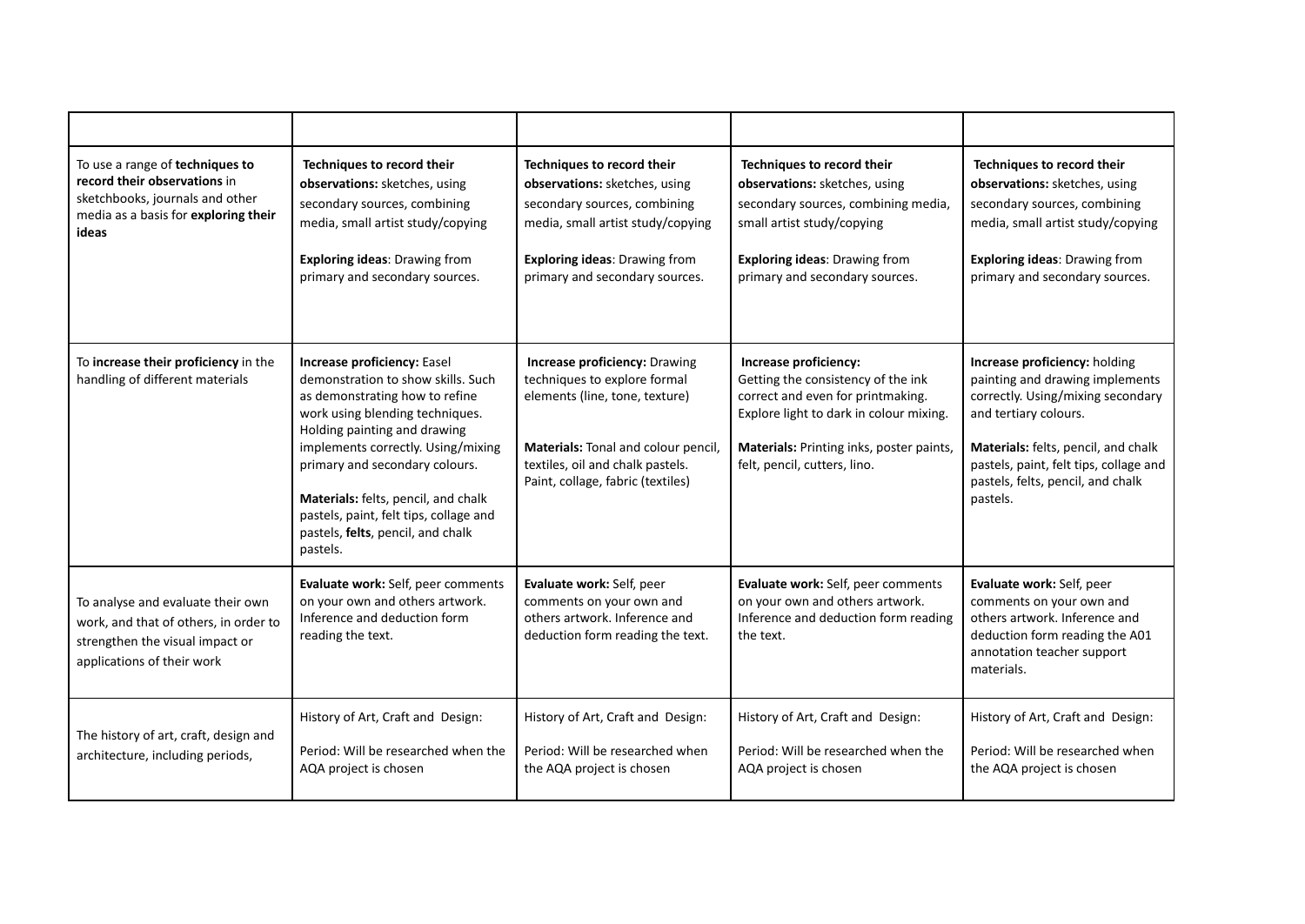| To use a range of techniques to<br>record their observations in<br>sketchbooks, journals and other<br>media as a basis for exploring their<br>ideas | Techniques to record their<br>observations: sketches, using<br>secondary sources, combining<br>media, small artist study/copying<br><b>Exploring ideas: Drawing from</b><br>primary and secondary sources.                                                                                                                                                                       | Techniques to record their<br>observations: sketches, using<br>secondary sources, combining<br>media, small artist study/copying<br><b>Exploring ideas: Drawing from</b><br>primary and secondary sources.             | Techniques to record their<br>observations: sketches, using<br>secondary sources, combining media,<br>small artist study/copying<br><b>Exploring ideas: Drawing from</b><br>primary and secondary sources.              | Techniques to record their<br>observations: sketches, using<br>secondary sources, combining<br>media, small artist study/copying<br><b>Exploring ideas: Drawing from</b><br>primary and secondary sources.                                                       |
|-----------------------------------------------------------------------------------------------------------------------------------------------------|----------------------------------------------------------------------------------------------------------------------------------------------------------------------------------------------------------------------------------------------------------------------------------------------------------------------------------------------------------------------------------|------------------------------------------------------------------------------------------------------------------------------------------------------------------------------------------------------------------------|-------------------------------------------------------------------------------------------------------------------------------------------------------------------------------------------------------------------------|------------------------------------------------------------------------------------------------------------------------------------------------------------------------------------------------------------------------------------------------------------------|
| To increase their proficiency in the<br>handling of different materials                                                                             | Increase proficiency: Easel<br>demonstration to show skills. Such<br>as demonstrating how to refine<br>work using blending techniques.<br>Holding painting and drawing<br>implements correctly. Using/mixing<br>primary and secondary colours.<br>Materials: felts, pencil, and chalk<br>pastels, paint, felt tips, collage and<br>pastels, felts, pencil, and chalk<br>pastels. | <b>Increase proficiency: Drawing</b><br>techniques to explore formal<br>elements (line, tone, texture)<br>Materials: Tonal and colour pencil,<br>textiles, oil and chalk pastels.<br>Paint, collage, fabric (textiles) | Increase proficiency:<br>Getting the consistency of the ink<br>correct and even for printmaking.<br>Explore light to dark in colour mixing.<br>Materials: Printing inks, poster paints,<br>felt, pencil, cutters, lino. | Increase proficiency: holding<br>painting and drawing implements<br>correctly. Using/mixing secondary<br>and tertiary colours.<br>Materials: felts, pencil, and chalk<br>pastels, paint, felt tips, collage and<br>pastels, felts, pencil, and chalk<br>pastels. |
| To analyse and evaluate their own<br>work, and that of others, in order to<br>strengthen the visual impact or<br>applications of their work         | Evaluate work: Self, peer comments<br>on your own and others artwork.<br>Inference and deduction form<br>reading the text.                                                                                                                                                                                                                                                       | Evaluate work: Self, peer<br>comments on your own and<br>others artwork. Inference and<br>deduction form reading the text.                                                                                             | Evaluate work: Self, peer comments<br>on your own and others artwork.<br>Inference and deduction form reading<br>the text.                                                                                              | Evaluate work: Self, peer<br>comments on your own and<br>others artwork. Inference and<br>deduction form reading the A01<br>annotation teacher support<br>materials.                                                                                             |
| The history of art, craft, design and<br>architecture, including periods,                                                                           | History of Art, Craft and Design:<br>Period: Will be researched when the<br>AQA project is chosen                                                                                                                                                                                                                                                                                | History of Art, Craft and Design:<br>Period: Will be researched when<br>the AQA project is chosen                                                                                                                      | History of Art, Craft and Design:<br>Period: Will be researched when the<br>AQA project is chosen                                                                                                                       | History of Art, Craft and Design:<br>Period: Will be researched when<br>the AQA project is chosen                                                                                                                                                                |